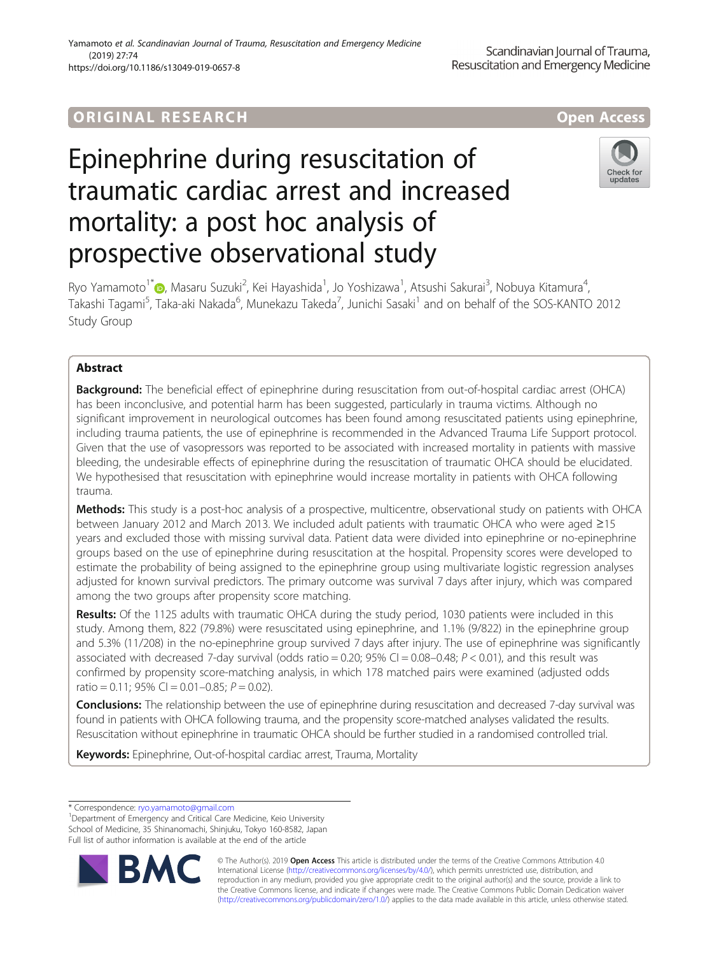# ORIGINA L R E S EA RCH Open Access



# Epinephrine during resuscitation of traumatic cardiac arrest and increased mortality: a post hoc analysis of prospective observational study



Ryo Yamamoto<sup>1\*</sup>�[,](http://orcid.org/0000-0001-8772-9600) Masaru Suzuki<sup>2</sup>, Kei Hayashida<sup>1</sup>, Jo Yoshizawa<sup>1</sup>, Atsushi Sakurai<sup>3</sup>, Nobuya Kitamura<sup>4</sup> , Takashi Tagami<sup>5</sup>, Taka-aki Nakada<sup>6</sup>, Munekazu Takeda<sup>7</sup>, Junichi Sasaki<sup>1</sup> and on behalf of the SOS-KANTO 2012 Study Group

# Abstract

**Background:** The beneficial effect of epinephrine during resuscitation from out-of-hospital cardiac arrest (OHCA) has been inconclusive, and potential harm has been suggested, particularly in trauma victims. Although no significant improvement in neurological outcomes has been found among resuscitated patients using epinephrine, including trauma patients, the use of epinephrine is recommended in the Advanced Trauma Life Support protocol. Given that the use of vasopressors was reported to be associated with increased mortality in patients with massive bleeding, the undesirable effects of epinephrine during the resuscitation of traumatic OHCA should be elucidated. We hypothesised that resuscitation with epinephrine would increase mortality in patients with OHCA following trauma.

Methods: This study is a post-hoc analysis of a prospective, multicentre, observational study on patients with OHCA between January 2012 and March 2013. We included adult patients with traumatic OHCA who were aged ≥15 years and excluded those with missing survival data. Patient data were divided into epinephrine or no-epinephrine groups based on the use of epinephrine during resuscitation at the hospital. Propensity scores were developed to estimate the probability of being assigned to the epinephrine group using multivariate logistic regression analyses adjusted for known survival predictors. The primary outcome was survival 7 days after injury, which was compared among the two groups after propensity score matching.

Results: Of the 1125 adults with traumatic OHCA during the study period, 1030 patients were included in this study. Among them, 822 (79.8%) were resuscitated using epinephrine, and 1.1% (9/822) in the epinephrine group and 5.3% (11/208) in the no-epinephrine group survived 7 days after injury. The use of epinephrine was significantly associated with decreased 7-day survival (odds ratio = 0.20; 95% CI = 0.08–0.48;  $P < 0.01$ ), and this result was confirmed by propensity score-matching analysis, in which 178 matched pairs were examined (adjusted odds ratio = 0.11; 95% CI = 0.01-0.85;  $P = 0.02$ ).

Conclusions: The relationship between the use of epinephrine during resuscitation and decreased 7-day survival was found in patients with OHCA following trauma, and the propensity score-matched analyses validated the results. Resuscitation without epinephrine in traumatic OHCA should be further studied in a randomised controlled trial.

Keywords: Epinephrine, Out-of-hospital cardiac arrest, Trauma, Mortality

\* Correspondence: [ryo.yamamoto@gmail.com](mailto:ryo.yamamoto@gmail.com) <sup>1</sup>

<sup>1</sup>Department of Emergency and Critical Care Medicine, Keio University School of Medicine, 35 Shinanomachi, Shinjuku, Tokyo 160-8582, Japan Full list of author information is available at the end of the article



© The Author(s). 2019 **Open Access** This article is distributed under the terms of the Creative Commons Attribution 4.0 International License [\(http://creativecommons.org/licenses/by/4.0/](http://creativecommons.org/licenses/by/4.0/)), which permits unrestricted use, distribution, and reproduction in any medium, provided you give appropriate credit to the original author(s) and the source, provide a link to the Creative Commons license, and indicate if changes were made. The Creative Commons Public Domain Dedication waiver [\(http://creativecommons.org/publicdomain/zero/1.0/](http://creativecommons.org/publicdomain/zero/1.0/)) applies to the data made available in this article, unless otherwise stated.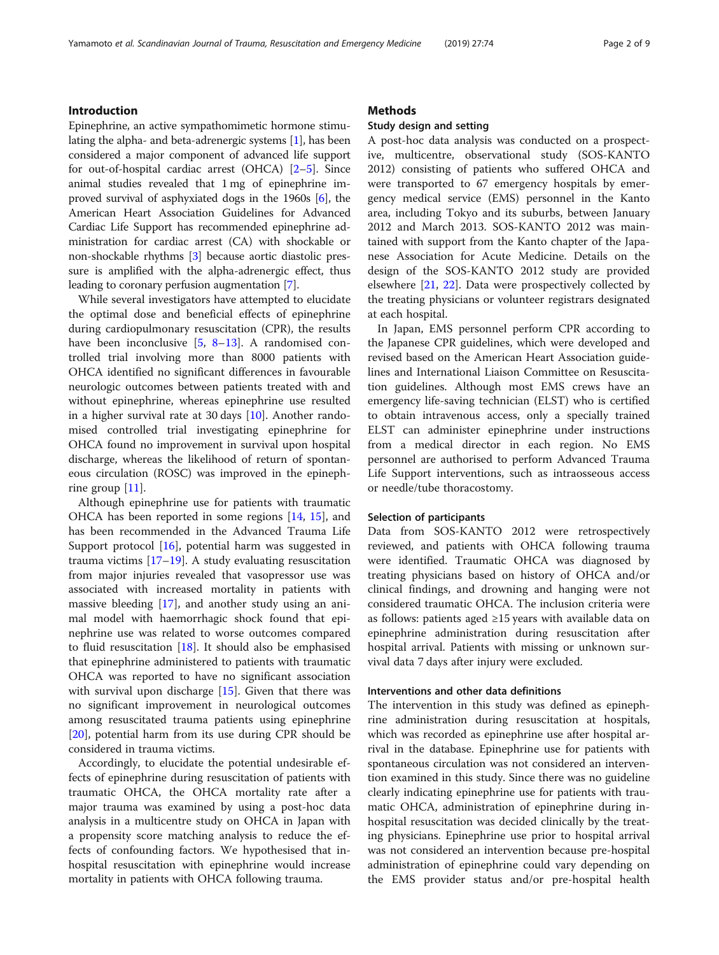# Introduction

Epinephrine, an active sympathomimetic hormone stimulating the alpha- and beta-adrenergic systems [\[1\]](#page-7-0), has been considered a major component of advanced life support for out-of-hospital cardiac arrest (OHCA) [\[2](#page-8-0)–[5\]](#page-8-0). Since animal studies revealed that 1 mg of epinephrine improved survival of asphyxiated dogs in the 1960s [\[6\]](#page-8-0), the American Heart Association Guidelines for Advanced Cardiac Life Support has recommended epinephrine administration for cardiac arrest (CA) with shockable or non-shockable rhythms [\[3](#page-8-0)] because aortic diastolic pressure is amplified with the alpha-adrenergic effect, thus leading to coronary perfusion augmentation [[7\]](#page-8-0).

While several investigators have attempted to elucidate the optimal dose and beneficial effects of epinephrine during cardiopulmonary resuscitation (CPR), the results have been inconclusive  $[5, 8-13]$  $[5, 8-13]$  $[5, 8-13]$  $[5, 8-13]$  $[5, 8-13]$  $[5, 8-13]$  $[5, 8-13]$ . A randomised controlled trial involving more than 8000 patients with OHCA identified no significant differences in favourable neurologic outcomes between patients treated with and without epinephrine, whereas epinephrine use resulted in a higher survival rate at 30 days [[10\]](#page-8-0). Another randomised controlled trial investigating epinephrine for OHCA found no improvement in survival upon hospital discharge, whereas the likelihood of return of spontaneous circulation (ROSC) was improved in the epinephrine group [[11\]](#page-8-0).

Although epinephrine use for patients with traumatic OHCA has been reported in some regions [\[14,](#page-8-0) [15\]](#page-8-0), and has been recommended in the Advanced Trauma Life Support protocol [\[16\]](#page-8-0), potential harm was suggested in trauma victims  $[17–19]$  $[17–19]$  $[17–19]$  $[17–19]$  $[17–19]$ . A study evaluating resuscitation from major injuries revealed that vasopressor use was associated with increased mortality in patients with massive bleeding [\[17](#page-8-0)], and another study using an animal model with haemorrhagic shock found that epinephrine use was related to worse outcomes compared to fluid resuscitation [[18\]](#page-8-0). It should also be emphasised that epinephrine administered to patients with traumatic OHCA was reported to have no significant association with survival upon discharge [[15\]](#page-8-0). Given that there was no significant improvement in neurological outcomes among resuscitated trauma patients using epinephrine [[20\]](#page-8-0), potential harm from its use during CPR should be considered in trauma victims.

Accordingly, to elucidate the potential undesirable effects of epinephrine during resuscitation of patients with traumatic OHCA, the OHCA mortality rate after a major trauma was examined by using a post-hoc data analysis in a multicentre study on OHCA in Japan with a propensity score matching analysis to reduce the effects of confounding factors. We hypothesised that inhospital resuscitation with epinephrine would increase mortality in patients with OHCA following trauma.

# **Methods**

# Study design and setting

A post-hoc data analysis was conducted on a prospective, multicentre, observational study (SOS-KANTO 2012) consisting of patients who suffered OHCA and were transported to 67 emergency hospitals by emergency medical service (EMS) personnel in the Kanto area, including Tokyo and its suburbs, between January 2012 and March 2013. SOS-KANTO 2012 was maintained with support from the Kanto chapter of the Japanese Association for Acute Medicine. Details on the design of the SOS-KANTO 2012 study are provided elsewhere [\[21](#page-8-0), [22\]](#page-8-0). Data were prospectively collected by the treating physicians or volunteer registrars designated at each hospital.

In Japan, EMS personnel perform CPR according to the Japanese CPR guidelines, which were developed and revised based on the American Heart Association guidelines and International Liaison Committee on Resuscitation guidelines. Although most EMS crews have an emergency life-saving technician (ELST) who is certified to obtain intravenous access, only a specially trained ELST can administer epinephrine under instructions from a medical director in each region. No EMS personnel are authorised to perform Advanced Trauma Life Support interventions, such as intraosseous access or needle/tube thoracostomy.

## Selection of participants

Data from SOS-KANTO 2012 were retrospectively reviewed, and patients with OHCA following trauma were identified. Traumatic OHCA was diagnosed by treating physicians based on history of OHCA and/or clinical findings, and drowning and hanging were not considered traumatic OHCA. The inclusion criteria were as follows: patients aged ≥15 years with available data on epinephrine administration during resuscitation after hospital arrival. Patients with missing or unknown survival data 7 days after injury were excluded.

## Interventions and other data definitions

The intervention in this study was defined as epinephrine administration during resuscitation at hospitals, which was recorded as epinephrine use after hospital arrival in the database. Epinephrine use for patients with spontaneous circulation was not considered an intervention examined in this study. Since there was no guideline clearly indicating epinephrine use for patients with traumatic OHCA, administration of epinephrine during inhospital resuscitation was decided clinically by the treating physicians. Epinephrine use prior to hospital arrival was not considered an intervention because pre-hospital administration of epinephrine could vary depending on the EMS provider status and/or pre-hospital health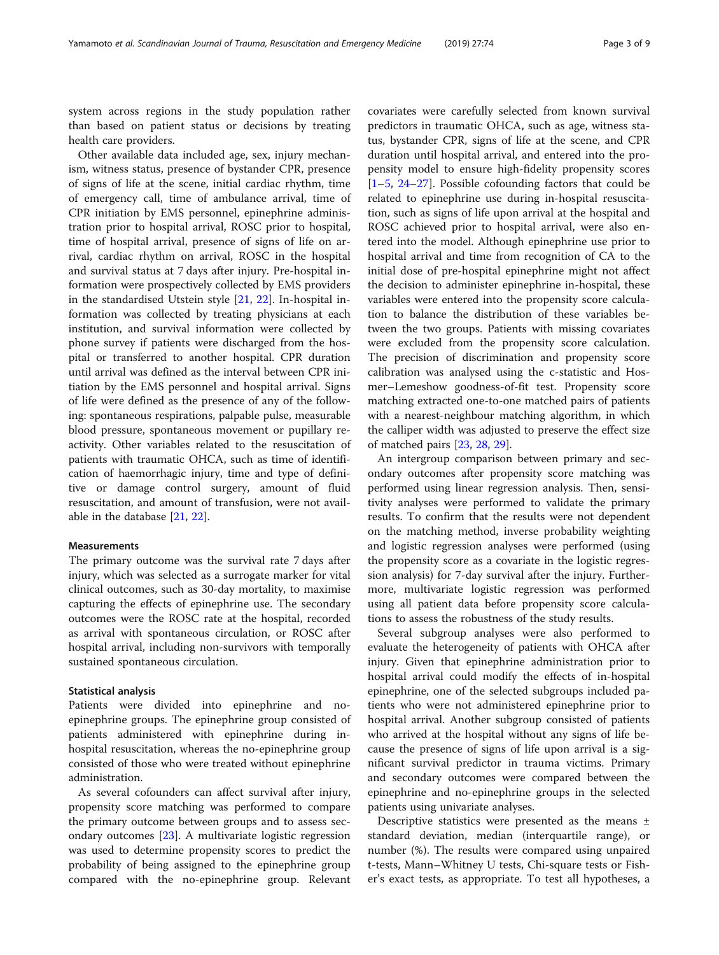system across regions in the study population rather than based on patient status or decisions by treating health care providers.

Other available data included age, sex, injury mechanism, witness status, presence of bystander CPR, presence of signs of life at the scene, initial cardiac rhythm, time of emergency call, time of ambulance arrival, time of CPR initiation by EMS personnel, epinephrine administration prior to hospital arrival, ROSC prior to hospital, time of hospital arrival, presence of signs of life on arrival, cardiac rhythm on arrival, ROSC in the hospital and survival status at 7 days after injury. Pre-hospital information were prospectively collected by EMS providers in the standardised Utstein style [\[21,](#page-8-0) [22](#page-8-0)]. In-hospital information was collected by treating physicians at each institution, and survival information were collected by phone survey if patients were discharged from the hospital or transferred to another hospital. CPR duration until arrival was defined as the interval between CPR initiation by the EMS personnel and hospital arrival. Signs of life were defined as the presence of any of the following: spontaneous respirations, palpable pulse, measurable blood pressure, spontaneous movement or pupillary reactivity. Other variables related to the resuscitation of patients with traumatic OHCA, such as time of identification of haemorrhagic injury, time and type of definitive or damage control surgery, amount of fluid resuscitation, and amount of transfusion, were not available in the database [[21,](#page-8-0) [22\]](#page-8-0).

# Measurements

The primary outcome was the survival rate 7 days after injury, which was selected as a surrogate marker for vital clinical outcomes, such as 30-day mortality, to maximise capturing the effects of epinephrine use. The secondary outcomes were the ROSC rate at the hospital, recorded as arrival with spontaneous circulation, or ROSC after hospital arrival, including non-survivors with temporally sustained spontaneous circulation.

#### Statistical analysis

Patients were divided into epinephrine and noepinephrine groups. The epinephrine group consisted of patients administered with epinephrine during inhospital resuscitation, whereas the no-epinephrine group consisted of those who were treated without epinephrine administration.

As several cofounders can affect survival after injury, propensity score matching was performed to compare the primary outcome between groups and to assess secondary outcomes [[23\]](#page-8-0). A multivariate logistic regression was used to determine propensity scores to predict the probability of being assigned to the epinephrine group compared with the no-epinephrine group. Relevant

covariates were carefully selected from known survival predictors in traumatic OHCA, such as age, witness status, bystander CPR, signs of life at the scene, and CPR duration until hospital arrival, and entered into the propensity model to ensure high-fidelity propensity scores [[1](#page-7-0)–[5,](#page-8-0) [24](#page-8-0)–[27](#page-8-0)]. Possible cofounding factors that could be related to epinephrine use during in-hospital resuscitation, such as signs of life upon arrival at the hospital and ROSC achieved prior to hospital arrival, were also entered into the model. Although epinephrine use prior to hospital arrival and time from recognition of CA to the initial dose of pre-hospital epinephrine might not affect the decision to administer epinephrine in-hospital, these variables were entered into the propensity score calculation to balance the distribution of these variables between the two groups. Patients with missing covariates were excluded from the propensity score calculation. The precision of discrimination and propensity score calibration was analysed using the c-statistic and Hosmer–Lemeshow goodness-of-fit test. Propensity score matching extracted one-to-one matched pairs of patients with a nearest-neighbour matching algorithm, in which the calliper width was adjusted to preserve the effect size of matched pairs [\[23](#page-8-0), [28](#page-8-0), [29](#page-8-0)].

An intergroup comparison between primary and secondary outcomes after propensity score matching was performed using linear regression analysis. Then, sensitivity analyses were performed to validate the primary results. To confirm that the results were not dependent on the matching method, inverse probability weighting and logistic regression analyses were performed (using the propensity score as a covariate in the logistic regression analysis) for 7-day survival after the injury. Furthermore, multivariate logistic regression was performed using all patient data before propensity score calculations to assess the robustness of the study results.

Several subgroup analyses were also performed to evaluate the heterogeneity of patients with OHCA after injury. Given that epinephrine administration prior to hospital arrival could modify the effects of in-hospital epinephrine, one of the selected subgroups included patients who were not administered epinephrine prior to hospital arrival. Another subgroup consisted of patients who arrived at the hospital without any signs of life because the presence of signs of life upon arrival is a significant survival predictor in trauma victims. Primary and secondary outcomes were compared between the epinephrine and no-epinephrine groups in the selected patients using univariate analyses.

Descriptive statistics were presented as the means ± standard deviation, median (interquartile range), or number (%). The results were compared using unpaired t-tests, Mann–Whitney U tests, Chi-square tests or Fisher's exact tests, as appropriate. To test all hypotheses, a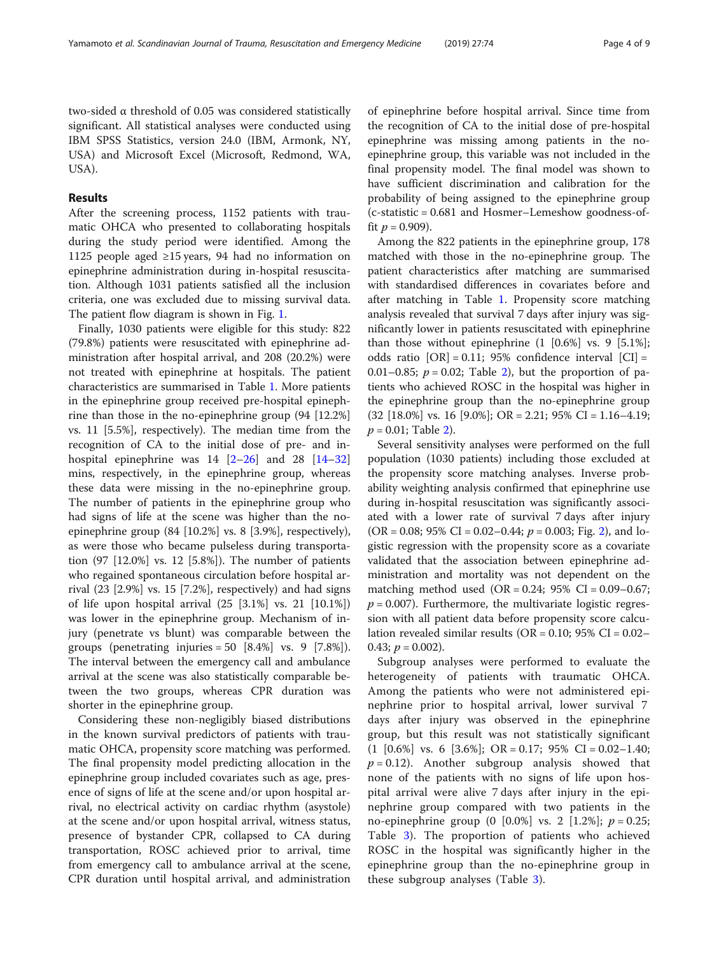two-sided α threshold of 0.05 was considered statistically significant. All statistical analyses were conducted using IBM SPSS Statistics, version 24.0 (IBM, Armonk, NY, USA) and Microsoft Excel (Microsoft, Redmond, WA, USA).

# Results

After the screening process, 1152 patients with traumatic OHCA who presented to collaborating hospitals during the study period were identified. Among the 1125 people aged ≥15 years, 94 had no information on epinephrine administration during in-hospital resuscitation. Although 1031 patients satisfied all the inclusion criteria, one was excluded due to missing survival data. The patient flow diagram is shown in Fig. [1.](#page-4-0)

Finally, 1030 patients were eligible for this study: 822 (79.8%) patients were resuscitated with epinephrine administration after hospital arrival, and 208 (20.2%) were not treated with epinephrine at hospitals. The patient characteristics are summarised in Table [1.](#page-5-0) More patients in the epinephrine group received pre-hospital epinephrine than those in the no-epinephrine group (94 [12.2%] vs. 11 [5.5%], respectively). The median time from the recognition of CA to the initial dose of pre- and inhospital epinephrine was  $14$   $[2-26]$  $[2-26]$  $[2-26]$  $[2-26]$  and  $28$   $[14-32]$  $[14-32]$  $[14-32]$ mins, respectively, in the epinephrine group, whereas these data were missing in the no-epinephrine group. The number of patients in the epinephrine group who had signs of life at the scene was higher than the noepinephrine group (84 [10.2%] vs. 8 [3.9%], respectively), as were those who became pulseless during transportation (97 [12.0%] vs. 12 [5.8%]). The number of patients who regained spontaneous circulation before hospital arrival (23 [2.9%] vs. 15 [7.2%], respectively) and had signs of life upon hospital arrival (25 [3.1%] vs. 21 [10.1%]) was lower in the epinephrine group. Mechanism of injury (penetrate vs blunt) was comparable between the groups (penetrating injuries = 50  $[8.4\%]$  vs. 9  $[7.8\%]$ ). The interval between the emergency call and ambulance arrival at the scene was also statistically comparable between the two groups, whereas CPR duration was shorter in the epinephrine group.

Considering these non-negligibly biased distributions in the known survival predictors of patients with traumatic OHCA, propensity score matching was performed. The final propensity model predicting allocation in the epinephrine group included covariates such as age, presence of signs of life at the scene and/or upon hospital arrival, no electrical activity on cardiac rhythm (asystole) at the scene and/or upon hospital arrival, witness status, presence of bystander CPR, collapsed to CA during transportation, ROSC achieved prior to arrival, time from emergency call to ambulance arrival at the scene, CPR duration until hospital arrival, and administration of epinephrine before hospital arrival. Since time from the recognition of CA to the initial dose of pre-hospital epinephrine was missing among patients in the noepinephrine group, this variable was not included in the final propensity model. The final model was shown to have sufficient discrimination and calibration for the probability of being assigned to the epinephrine group (c-statistic = 0.681 and Hosmer–Lemeshow goodness-offit  $p = 0.909$ ).

Among the 822 patients in the epinephrine group, 178 matched with those in the no-epinephrine group. The patient characteristics after matching are summarised with standardised differences in covariates before and after matching in Table [1](#page-5-0). Propensity score matching analysis revealed that survival 7 days after injury was significantly lower in patients resuscitated with epinephrine than those without epinephrine  $(1 \quad [0.6\%]$  vs. 9  $[5.1\%]$ ; odds ratio  $[OR] = 0.11$ ; 95% confidence interval  $[CI] =$ 0.01–0.85;  $p = 0.02$ ; Table [2\)](#page-5-0), but the proportion of patients who achieved ROSC in the hospital was higher in the epinephrine group than the no-epinephrine group  $(32 [18.0\%] \text{ vs. } 16 [9.0\%]; \text{ OR} = 2.21; 95\% \text{ CI} = 1.16-4.19;$  $p = 0.01$ ; Table [2](#page-5-0)).

Several sensitivity analyses were performed on the full population (1030 patients) including those excluded at the propensity score matching analyses. Inverse probability weighting analysis confirmed that epinephrine use during in-hospital resuscitation was significantly associated with a lower rate of survival 7 days after injury  $(OR = 0.08; 95\% CI = 0.02-0.44; p = 0.003; Fig. 2)$  $(OR = 0.08; 95\% CI = 0.02-0.44; p = 0.003; Fig. 2)$  $(OR = 0.08; 95\% CI = 0.02-0.44; p = 0.003; Fig. 2)$ , and logistic regression with the propensity score as a covariate validated that the association between epinephrine administration and mortality was not dependent on the matching method used (OR =  $0.24$ ; 95% CI =  $0.09 - 0.67$ ;  $p = 0.007$ ). Furthermore, the multivariate logistic regression with all patient data before propensity score calculation revealed similar results (OR =  $0.10$ ; 95% CI =  $0.02-$ 0.43;  $p = 0.002$ ).

Subgroup analyses were performed to evaluate the heterogeneity of patients with traumatic OHCA. Among the patients who were not administered epinephrine prior to hospital arrival, lower survival 7 days after injury was observed in the epinephrine group, but this result was not statistically significant  $(1 [0.6\%] \text{ vs. } 6 [3.6\%]; \text{ OR} = 0.17; 95\% \text{ CI} = 0.02-1.40;$  $p = 0.12$ ). Another subgroup analysis showed that none of the patients with no signs of life upon hospital arrival were alive 7 days after injury in the epinephrine group compared with two patients in the no-epinephrine group (0 [0.0%] vs. 2 [1.2%];  $p = 0.25$ ; Table [3](#page-6-0)). The proportion of patients who achieved ROSC in the hospital was significantly higher in the epinephrine group than the no-epinephrine group in these subgroup analyses (Table [3](#page-6-0)).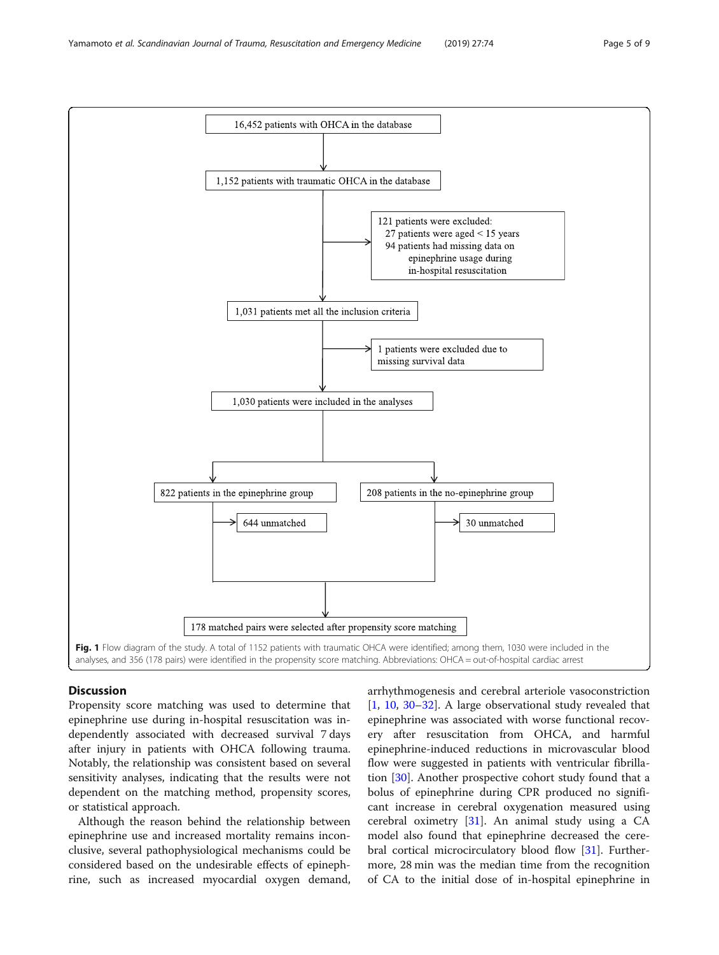<span id="page-4-0"></span>

# **Discussion**

Propensity score matching was used to determine that epinephrine use during in-hospital resuscitation was independently associated with decreased survival 7 days after injury in patients with OHCA following trauma. Notably, the relationship was consistent based on several sensitivity analyses, indicating that the results were not dependent on the matching method, propensity scores, or statistical approach.

Although the reason behind the relationship between epinephrine use and increased mortality remains inconclusive, several pathophysiological mechanisms could be considered based on the undesirable effects of epinephrine, such as increased myocardial oxygen demand, arrhythmogenesis and cerebral arteriole vasoconstriction [[1,](#page-7-0) [10](#page-8-0), [30](#page-8-0)–[32\]](#page-8-0). A large observational study revealed that epinephrine was associated with worse functional recovery after resuscitation from OHCA, and harmful epinephrine-induced reductions in microvascular blood flow were suggested in patients with ventricular fibrillation [\[30](#page-8-0)]. Another prospective cohort study found that a bolus of epinephrine during CPR produced no significant increase in cerebral oxygenation measured using cerebral oximetry [\[31\]](#page-8-0). An animal study using a CA model also found that epinephrine decreased the cerebral cortical microcirculatory blood flow [[31](#page-8-0)]. Furthermore, 28 min was the median time from the recognition of CA to the initial dose of in-hospital epinephrine in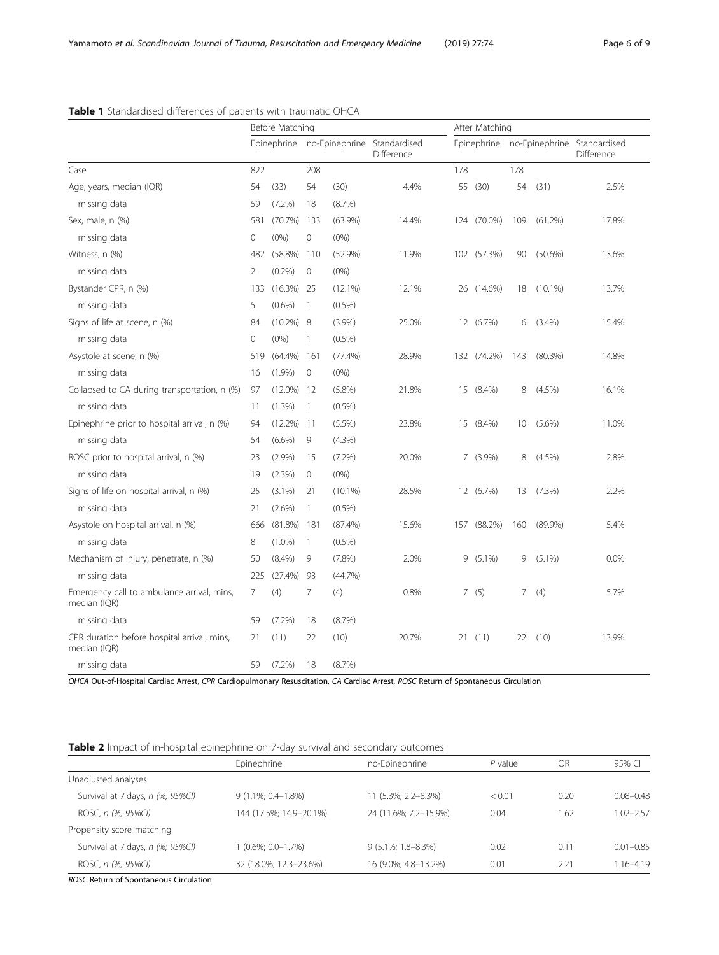|                                                             | Before Matching |            |                             |            | After Matching |     |             |                                         |            |            |
|-------------------------------------------------------------|-----------------|------------|-----------------------------|------------|----------------|-----|-------------|-----------------------------------------|------------|------------|
|                                                             | Epinephrine     |            | no-Epinephrine Standardised |            | Difference     |     |             | Epinephrine no-Epinephrine Standardised |            | Difference |
| Case                                                        | 822             |            | 208                         |            |                | 178 |             | 178                                     |            |            |
| Age, years, median (IQR)                                    | 54              | (33)       | 54                          | (30)       | 4.4%           | 55  | (30)        | 54                                      | (31)       | 2.5%       |
| missing data                                                | 59              | $(7.2\%)$  | 18                          | (8.7%)     |                |     |             |                                         |            |            |
| Sex, male, n (%)                                            | 581             | (70.7%)    | 133                         | $(63.9\%)$ | 14.4%          | 124 | $(70.0\%)$  | 109                                     | (61.2%)    | 17.8%      |
| missing data                                                | 0               | (0% )      | $\mathbf{0}$                | $(0\%)$    |                |     |             |                                         |            |            |
| Witness, n (%)                                              | 482             | (58.8%)    | 110                         | $(52.9\%)$ | 11.9%          |     | 102 (57.3%) | 90                                      | $(50.6\%)$ | 13.6%      |
| missing data                                                | 2               | (0.2%)     | 0                           | $(0\%)$    |                |     |             |                                         |            |            |
| Bystander CPR, n (%)                                        | 133             | (16.3%)    | 25                          | $(12.1\%)$ | 12.1%          |     | 26 (14.6%)  | 18                                      | $(10.1\%)$ | 13.7%      |
| missing data                                                | 5               | (0.6% )    | $\mathbf{1}$                | $(0.5\%)$  |                |     |             |                                         |            |            |
| Signs of life at scene, n (%)                               | 84              | $(10.2\%)$ | 8                           | (3.9%)     | 25.0%          |     | 12 (6.7%)   | 6                                       | (3.4%)     | 15.4%      |
| missing data                                                | 0               | (0% )      | $\mathbf{1}$                | $(0.5\%)$  |                |     |             |                                         |            |            |
| Asystole at scene, n (%)                                    | 519             | $(64.4\%)$ | 161                         | (77.4%)    | 28.9%          | 132 | (74.2%)     | 143                                     | $(80.3\%)$ | 14.8%      |
| missing data                                                | 16              | (1.9%)     | 0                           | (0% )      |                |     |             |                                         |            |            |
| Collapsed to CA during transportation, n (%)                | 97              | $(12.0\%)$ | 12                          | (5.8%)     | 21.8%          |     | 15 (8.4%)   | 8                                       | $(4.5\%)$  | 16.1%      |
| missing data                                                | 11              | (1.3%)     | $\mathbf{1}$                | $(0.5\%)$  |                |     |             |                                         |            |            |
| Epinephrine prior to hospital arrival, n (%)                | 94              | $(12.2\%)$ | 11                          | $(5.5\%)$  | 23.8%          | 15  | $(8.4\%)$   | 10 <sup>°</sup>                         | $(5.6\%)$  | 11.0%      |
| missing data                                                | 54              | $(6.6\%)$  | 9                           | $(4.3\%)$  |                |     |             |                                         |            |            |
| ROSC prior to hospital arrival, n (%)                       | 23              | (2.9%)     | 15                          | $(7.2\%)$  | 20.0%          |     | $7(3.9\%)$  | 8                                       | $(4.5\%)$  | 2.8%       |
| missing data                                                | 19              | (2.3%)     | $\mathbf 0$                 | $(0\%)$    |                |     |             |                                         |            |            |
| Signs of life on hospital arrival, n (%)                    | 25              | $(3.1\%)$  | 21                          | $(10.1\%)$ | 28.5%          |     | 12 (6.7%)   | 13                                      | (7.3%)     | 2.2%       |
| missing data                                                | 21              | $(2.6\%)$  | $\mathbf{1}$                | $(0.5\%)$  |                |     |             |                                         |            |            |
| Asystole on hospital arrival, n (%)                         | 666             | $(81.8\%)$ | 181                         | (87.4%)    | 15.6%          | 157 | (88.2%)     | 160                                     | $(89.9\%)$ | 5.4%       |
| missing data                                                | 8               | $(1.0\%)$  | $\mathbf{1}$                | $(0.5\%)$  |                |     |             |                                         |            |            |
| Mechanism of Injury, penetrate, n (%)                       | 50              | (8.4%)     | 9                           | (7.8%)     | 2.0%           |     | $9(5.1\%)$  | 9                                       | $(5.1\%)$  | 0.0%       |
| missing data                                                | 225             | (27.4%)    | 93                          | (44.7%)    |                |     |             |                                         |            |            |
| Emergency call to ambulance arrival, mins,<br>median (IQR)  | 7               | (4)        | 7                           | (4)        | 0.8%           |     | 7(5)        | 7                                       | (4)        | 5.7%       |
| missing data                                                | 59              | $(7.2\%)$  | 18                          | (8.7%)     |                |     |             |                                         |            |            |
| CPR duration before hospital arrival, mins,<br>median (IQR) | 21              | (11)       | 22                          | (10)       | 20.7%          | 21  | (11)        | 22                                      | (10)       | 13.9%      |
| missing data                                                | 59              | (7.2%)     | 18                          | (8.7%)     |                |     |             |                                         |            |            |

# <span id="page-5-0"></span>Table 1 Standardised differences of patients with traumatic OHCA

OHCA Out-of-Hospital Cardiac Arrest, CPR Cardiopulmonary Resuscitation, CA Cardiac Arrest, ROSC Return of Spontaneous Circulation

# Table 2 Impact of in-hospital epinephrine on 7-day survival and secondary outcomes

| Epinephrine             | no-Epinephrine          | $P$ value | <b>OR</b> | 95% CI        |  |
|-------------------------|-------------------------|-----------|-----------|---------------|--|
|                         |                         |           |           |               |  |
| $9(1.1\%; 0.4-1.8\%)$   | 11 (5.3%; 2.2-8.3%)     | < 0.01    | 0.20      | $0.08 - 0.48$ |  |
| 144 (17.5%; 14.9-20.1%) | 24 (11.6%; 7.2-15.9%)   | 0.04      | 1.62      | $1.02 - 2.57$ |  |
|                         |                         |           |           |               |  |
| $(0.6\%; 0.0 - 1.7\%)$  | $9(5.1\%; 1.8 - 8.3\%)$ | 0.02      | 0.11      | $0.01 - 0.85$ |  |
| 32 (18.0%; 12.3-23.6%)  | 16 (9.0%; 4.8-13.2%)    | 0.01      | 2.21      | $1.16 - 4.19$ |  |
|                         |                         |           |           |               |  |

ROSC Return of Spontaneous Circulation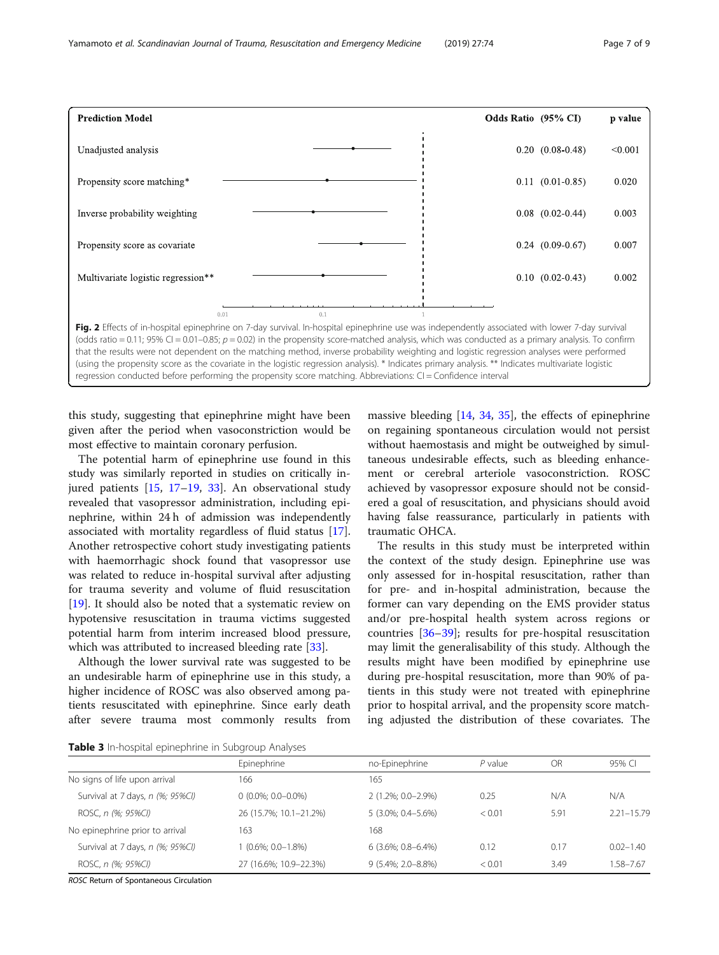<span id="page-6-0"></span>

regression conducted before performing the propensity score matching. Abbreviations: CI = Confidence interval

this study, suggesting that epinephrine might have been given after the period when vasoconstriction would be most effective to maintain coronary perfusion.

The potential harm of epinephrine use found in this study was similarly reported in studies on critically injured patients [[15,](#page-8-0) [17](#page-8-0)–[19](#page-8-0), [33](#page-8-0)]. An observational study revealed that vasopressor administration, including epinephrine, within 24 h of admission was independently associated with mortality regardless of fluid status [\[17](#page-8-0)]. Another retrospective cohort study investigating patients with haemorrhagic shock found that vasopressor use was related to reduce in-hospital survival after adjusting for trauma severity and volume of fluid resuscitation [[19\]](#page-8-0). It should also be noted that a systematic review on hypotensive resuscitation in trauma victims suggested potential harm from interim increased blood pressure, which was attributed to increased bleeding rate [[33](#page-8-0)].

Although the lower survival rate was suggested to be an undesirable harm of epinephrine use in this study, a higher incidence of ROSC was also observed among patients resuscitated with epinephrine. Since early death after severe trauma most commonly results from

massive bleeding [\[14](#page-8-0), [34,](#page-8-0) [35\]](#page-8-0), the effects of epinephrine on regaining spontaneous circulation would not persist without haemostasis and might be outweighed by simultaneous undesirable effects, such as bleeding enhancement or cerebral arteriole vasoconstriction. ROSC achieved by vasopressor exposure should not be considered a goal of resuscitation, and physicians should avoid having false reassurance, particularly in patients with traumatic OHCA.

The results in this study must be interpreted within the context of the study design. Epinephrine use was only assessed for in-hospital resuscitation, rather than for pre- and in-hospital administration, because the former can vary depending on the EMS provider status and/or pre-hospital health system across regions or countries [\[36](#page-8-0)–[39\]](#page-8-0); results for pre-hospital resuscitation may limit the generalisability of this study. Although the results might have been modified by epinephrine use during pre-hospital resuscitation, more than 90% of patients in this study were not treated with epinephrine prior to hospital arrival, and the propensity score matching adjusted the distribution of these covariates. The

**Table 3** In-hospital epinephrine in Subgroup Analyses

|                                  | Epinephrine             | no-Epinephrine          | $P$ value | <b>OR</b> | 95% CI         |  |  |  |  |
|----------------------------------|-------------------------|-------------------------|-----------|-----------|----------------|--|--|--|--|
| No signs of life upon arrival    | 166                     | 165                     |           |           |                |  |  |  |  |
| Survival at 7 days, n (%; 95%CI) | $0(0.0\%; 0.0 - 0.0\%)$ | 2 (1.2%; 0.0-2.9%)      | 0.25      | N/A       | N/A            |  |  |  |  |
| ROSC, n (%; 95%Cl)               | 26 (15.7%; 10.1-21.2%)  | $5(3.0\%; 0.4 - 5.6\%)$ | < 0.01    | 5.91      | $2.21 - 15.79$ |  |  |  |  |
| No epinephrine prior to arrival  | 163                     | 168                     |           |           |                |  |  |  |  |
| Survival at 7 days, n (%; 95%CI) | $1(0.6\%; 0.0-1.8\%)$   | $6$ (3.6%; 0.8-6.4%)    | 0.12      | 0.17      | $0.02 - 1.40$  |  |  |  |  |
| ROSC, n (%; 95%CI)               | 27 (16.6%; 10.9-22.3%)  | $9(5.4\%; 2.0 - 8.8\%)$ | < 0.01    | 3.49      | 1.58-7.67      |  |  |  |  |

ROSC Return of Spontaneous Circulation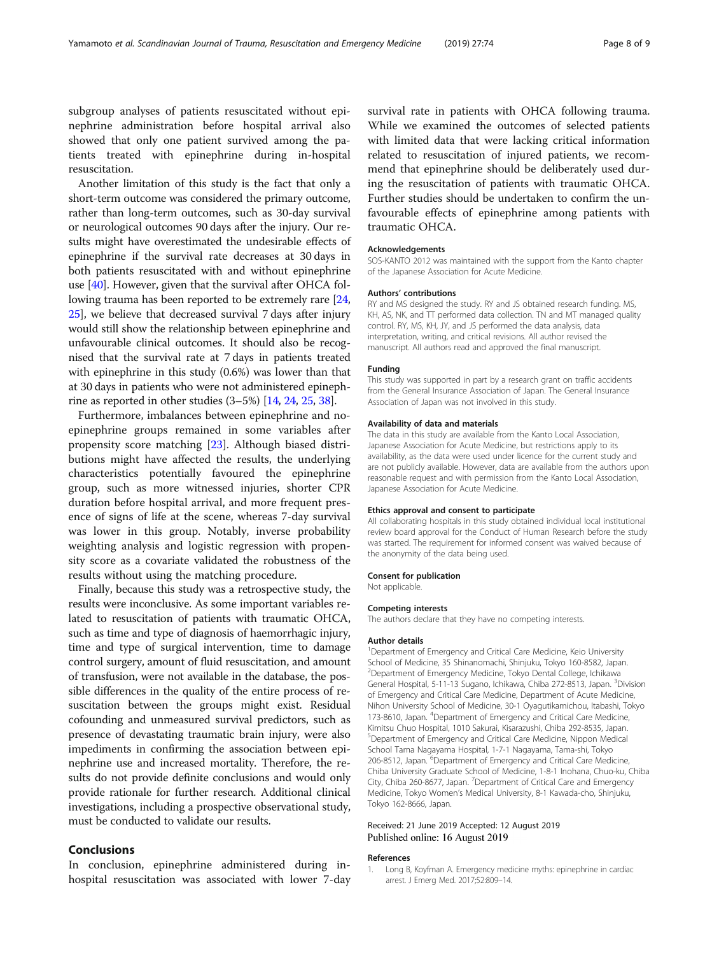<span id="page-7-0"></span>subgroup analyses of patients resuscitated without epinephrine administration before hospital arrival also showed that only one patient survived among the patients treated with epinephrine during in-hospital resuscitation.

Another limitation of this study is the fact that only a short-term outcome was considered the primary outcome, rather than long-term outcomes, such as 30-day survival or neurological outcomes 90 days after the injury. Our results might have overestimated the undesirable effects of epinephrine if the survival rate decreases at 30 days in both patients resuscitated with and without epinephrine use [[40](#page-8-0)]. However, given that the survival after OHCA following trauma has been reported to be extremely rare [[24](#page-8-0), [25](#page-8-0)], we believe that decreased survival 7 days after injury would still show the relationship between epinephrine and unfavourable clinical outcomes. It should also be recognised that the survival rate at 7 days in patients treated with epinephrine in this study (0.6%) was lower than that at 30 days in patients who were not administered epinephrine as reported in other studies (3–5%) [\[14,](#page-8-0) [24](#page-8-0), [25](#page-8-0), [38\]](#page-8-0).

Furthermore, imbalances between epinephrine and noepinephrine groups remained in some variables after propensity score matching [[23](#page-8-0)]. Although biased distributions might have affected the results, the underlying characteristics potentially favoured the epinephrine group, such as more witnessed injuries, shorter CPR duration before hospital arrival, and more frequent presence of signs of life at the scene, whereas 7-day survival was lower in this group. Notably, inverse probability weighting analysis and logistic regression with propensity score as a covariate validated the robustness of the results without using the matching procedure.

Finally, because this study was a retrospective study, the results were inconclusive. As some important variables related to resuscitation of patients with traumatic OHCA, such as time and type of diagnosis of haemorrhagic injury, time and type of surgical intervention, time to damage control surgery, amount of fluid resuscitation, and amount of transfusion, were not available in the database, the possible differences in the quality of the entire process of resuscitation between the groups might exist. Residual cofounding and unmeasured survival predictors, such as presence of devastating traumatic brain injury, were also impediments in confirming the association between epinephrine use and increased mortality. Therefore, the results do not provide definite conclusions and would only provide rationale for further research. Additional clinical investigations, including a prospective observational study, must be conducted to validate our results.

# Conclusions

In conclusion, epinephrine administered during inhospital resuscitation was associated with lower 7-day survival rate in patients with OHCA following trauma. While we examined the outcomes of selected patients with limited data that were lacking critical information related to resuscitation of injured patients, we recommend that epinephrine should be deliberately used during the resuscitation of patients with traumatic OHCA. Further studies should be undertaken to confirm the unfavourable effects of epinephrine among patients with traumatic OHCA.

#### Acknowledgements

SOS-KANTO 2012 was maintained with the support from the Kanto chapter of the Japanese Association for Acute Medicine.

#### Authors' contributions

RY and MS designed the study. RY and JS obtained research funding. MS, KH, AS, NK, and TT performed data collection. TN and MT managed quality control. RY, MS, KH, JY, and JS performed the data analysis, data interpretation, writing, and critical revisions. All author revised the manuscript. All authors read and approved the final manuscript.

#### Funding

This study was supported in part by a research grant on traffic accidents from the General Insurance Association of Japan. The General Insurance Association of Japan was not involved in this study.

#### Availability of data and materials

The data in this study are available from the Kanto Local Association, Japanese Association for Acute Medicine, but restrictions apply to its availability, as the data were used under licence for the current study and are not publicly available. However, data are available from the authors upon reasonable request and with permission from the Kanto Local Association, Japanese Association for Acute Medicine.

#### Ethics approval and consent to participate

All collaborating hospitals in this study obtained individual local institutional review board approval for the Conduct of Human Research before the study was started. The requirement for informed consent was waived because of the anonymity of the data being used.

#### Consent for publication

Not applicable.

#### Competing interests

The authors declare that they have no competing interests.

#### Author details

<sup>1</sup> Department of Emergency and Critical Care Medicine, Keio University School of Medicine, 35 Shinanomachi, Shinjuku, Tokyo 160-8582, Japan. 2 Department of Emergency Medicine, Tokyo Dental College, Ichikawa General Hospital, 5-11-13 Sugano, Ichikawa, Chiba 272-8513, Japan. <sup>3</sup>Division of Emergency and Critical Care Medicine, Department of Acute Medicine, Nihon University School of Medicine, 30-1 Oyagutikamichou, Itabashi, Tokyo 173-8610, Japan. <sup>4</sup>Department of Emergency and Critical Care Medicine, Kimitsu Chuo Hospital, 1010 Sakurai, Kisarazushi, Chiba 292-8535, Japan. 5 Department of Emergency and Critical Care Medicine, Nippon Medical School Tama Nagayama Hospital, 1-7-1 Nagayama, Tama-shi, Tokyo 206-8512, Japan. <sup>6</sup>Department of Emergency and Critical Care Medicine, Chiba University Graduate School of Medicine, 1-8-1 Inohana, Chuo-ku, Chiba City, Chiba 260-8677, Japan. <sup>7</sup> Department of Critical Care and Emergency Medicine, Tokyo Women's Medical University, 8-1 Kawada-cho, Shinjuku, Tokyo 162-8666, Japan.

#### Received: 21 June 2019 Accepted: 12 August 2019 Published online: 16 August 2019

#### References

1. Long B, Koyfman A. Emergency medicine myths: epinephrine in cardiac arrest. J Emerg Med. 2017;52:809–14.